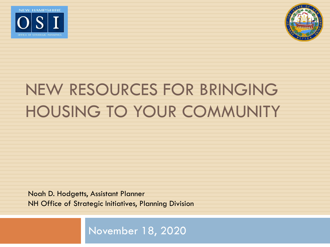



# NEW RESOURCES FOR BRINGING HOUSING TO YOUR COMMUNITY

Noah D. Hodgetts, Assistant Planner NH Office of Strategic Initiatives, Planning Division

November 18, 2020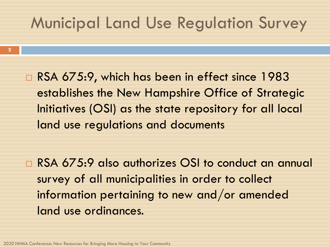#### Municipal Land Use Regulation Survey

□ RSA 675:9, which has been in effect since 1983 establishes the New Hampshire Office of Strategic Initiatives (OSI) as the state repository for all local land use regulations and documents

□ RSA 675:9 also authorizes OSI to conduct an annual survey of all municipalities in order to collect information pertaining to new and/or amended land use ordinances.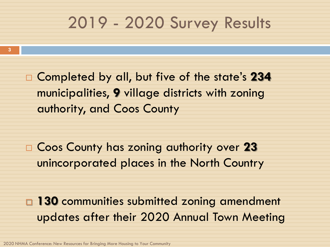#### 2019 - 2020 Survey Results

 Completed by all, but five of the state's **234** municipalities, **9** village districts with zoning authority, and Coos County

 Coos County has zoning authority over **23**  unincorporated places in the North Country

**130** communities submitted zoning amendment updates after their 2020 Annual Town Meeting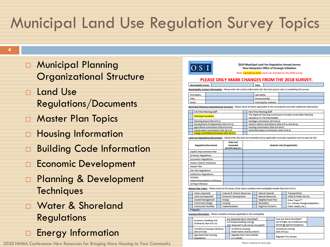### Municipal Land Use Regulation Survey Topics

- **n** Municipal Planning Organizational Structure
- Land Use Regulations/Documents
- **D** Master Plan Topics
- □ Housing Information
- **Building Code Information**
- **Economic Development**
- **Planning & Development Techniques**
- Water & Shoreland Regulations
- **Energy Information**

2020 NHMA Conference: New Resources for Bringing More Housing to Your Community



2019 Municipal Land Use Regulation Annual Survey **New Hampshire Office of Strategic Initiatives** 

Note: highlighted fields were not included on the 2018 survey

#### PLEASE ONLY MARK CHANGES FROM THE 2018 SURVEY.

| . . |  |  |  | ua.c. |  |  |  |  |  |  |
|-----|--|--|--|-------|--|--|--|--|--|--|
|     |  |  |  |       |  |  |  |  |  |  |

Municipality Contact Information - Please enter the contact information for the main person who is completing this survey.

| First Name: | Last Name:            |  |
|-------------|-----------------------|--|
| Title:      | Phone Number:         |  |
| Email:      | Municipality Website: |  |

Municipal Planning Organizational Structure - Please check all boxes applicable to the municipality and enter additional information

| <b>Full-Time Planning Staff</b>          |  | Part-Time Planning Staff                                         |  |  |  |  |  |
|------------------------------------------|--|------------------------------------------------------------------|--|--|--|--|--|
| <b>Planning Consultant</b>               |  | The Regional Planning Commission Provides Circuit Rider Planning |  |  |  |  |  |
|                                          |  | Assistance To The Municipality                                   |  |  |  |  |  |
| Planning Board (RSA 673:1)               |  | Heritage Commission (674:44-a)                                   |  |  |  |  |  |
| Zoning Board of Adjustment (RSA 673:1)   |  | Historic District Commission (RSA 673:4, 674:46-a)               |  |  |  |  |  |
| Agricultural Commission (RSA 674:44-e)   |  | Housing Commission (RSA 674:44-h)                                |  |  |  |  |  |
| Conservation Commission (RSA 36-A:2)     |  | Parks/Recreation Commission (RSA 35-B:4)                         |  |  |  |  |  |
| Energy Committee/Commission (RSA 38-D:2) |  |                                                                  |  |  |  |  |  |

Land Use Regulations/Documents - Please enter the date last amended of any applicable municipal regulation and its web site link

| <b>Regulation/Document</b>               | Date Last<br>Amended<br>(month/day/yr.) | Website Link (if applicable) |
|------------------------------------------|-----------------------------------------|------------------------------|
| Capital Improvements Plan                |                                         |                              |
| <b>Driveway Regulations</b>              |                                         |                              |
| <b>Excavation Regulations</b>            |                                         |                              |
| Historic District Ordinance              |                                         |                              |
| Master Plan                              |                                         |                              |
| <b>Site Plan Regulations</b>             |                                         |                              |
| Subdivision Regulations                  |                                         |                              |
| Wireless<br>Telecommunications Ordinance |                                         |                              |
| Zoning Ordinance                         |                                         |                              |

Master Plan Topics - Please check all the boxes of the topics currently in the municipality's Master Plan (RSA 674:2).

| Vision (required)           |  | Cultural & Historic Resources |  | Natural Hazards   |  | Transportation                   |
|-----------------------------|--|-------------------------------|--|-------------------|--|----------------------------------|
| Land Use (required)         |  | Economic Development          |  | Natural Resources |  | Utility & Public Service         |
| Coastal Management          |  | Energy                        |  | Neighborhood Plan |  | Other Topics**                   |
| Community Design            |  | Housing                       |  | Recreation        |  | (i.e. Climate Change/Adaptation, |
| <b>Community Facilities</b> |  | Implementation                |  | Regional Concerns |  | Public Health, etc.)             |
| **Specify:                  |  |                               |  |                   |  |                                  |

Housing Information - Please complete all boxes applicable to the municipality.

| <b>Accessory Dwelling Unit</b><br>Ordinance (RSA 674:72) | Are Detached ADU's Permitted?<br>Is Principal Dwelling Unit Or<br>ADU Required To Be Owner-Occupied? | How Are ADUs Permitted?<br>(As Of Right, By Conditional Use<br>Permit Or Special Exception) |
|----------------------------------------------------------|------------------------------------------------------------------------------------------------------|---------------------------------------------------------------------------------------------|
| Workforce Housing Ordinance<br>(RSA 674:58)              | Workforce Housing<br>Multi-Family Overlay District                                                   | Inclusionary Zoning<br>(RSA 674:21)                                                         |
| Age-Restricted Housing<br>Regulations                    | Regulate Short-Term Rentals<br>(i.e. Airbnb)                                                         | Regulate Tiny Houses                                                                        |

Please continue to next page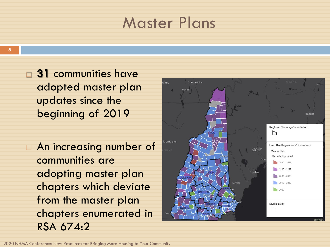#### Master Plans

- **31** communities have adopted master plan updates since the beginning of 2019
- An increasing number of communities are adopting master plan chapters which deviate from the master plan chapters enumerated in RSA 674:2

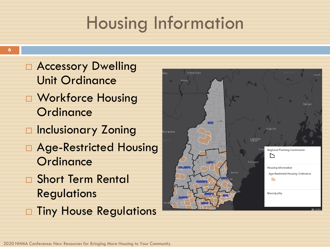## Housing Information

- □ Accessory Dwelling Unit Ordinance
- □ Workforce Housing **Ordinance**
- **Inclusionary Zoning**
- □ Age-Restricted Housing **Ordinance**
- Short Term Rental **Regulations**
- □ Tiny House Regulations

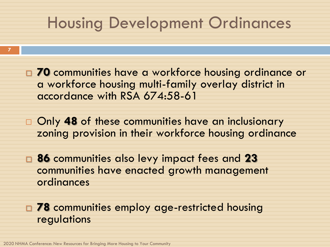#### Housing Development Ordinances

- **70** communities have a workforce housing ordinance or a workforce housing multi-family overlay district in accordance with RSA 674:58-61
- Only **48** of these communities have an inclusionary zoning provision in their workforce housing ordinance
- **86** communities also levy impact fees and **23** communities have enacted growth management ordinances
- **78** communities employ age-restricted housing regulations

**7**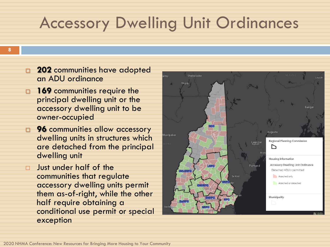#### Accessory Dwelling Unit Ordinances

- **202** communities have adopted an ADU ordinance
- **169** communities require the principal dwelling unit or the accessory dwelling unit to be owner-occupied
- **1 96** communities allow accessory dwelling units in structures which are detached from the principal dwelling unit
- **D** Just under half of the communities that regulate accessory dwelling units permit them as-of-right, while the other half require obtaining a conditional use permit or special exception

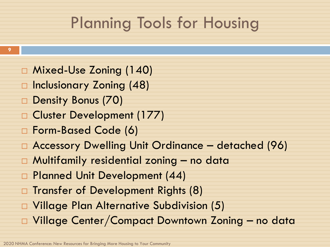## Planning Tools for Housing

- Mixed-Use Zoning (140)
- □ Inclusionary Zoning (48)
- Density Bonus (70)
- □ Cluster Development (177)
- Form-Based Code (6)
- Accessory Dwelling Unit Ordinance detached (96)
- Multifamily residential zoning no data
- □ Planned Unit Development (44)
- □ Transfer of Development Rights (8)
- Village Plan Alternative Subdivision (5)
- Village Center/Compact Downtown Zoning no data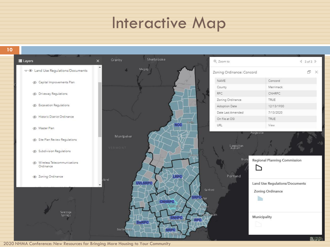#### Interactive Map

**10**

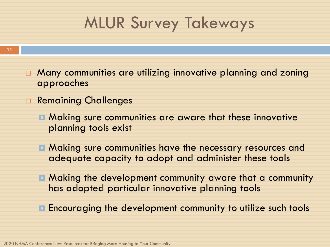## MLUR Survey Takeways

- **E** Many communities are utilizing innovative planning and zoning approaches
- □ Remaining Challenges
	- **E** Making sure communities are aware that these innovative planning tools exist
	- **E** Making sure communities have the necessary resources and adequate capacity to adopt and administer these tools
	- **E** Making the development community aware that a community has adopted particular innovative planning tools
	- **E** Encouraging the development community to utilize such tools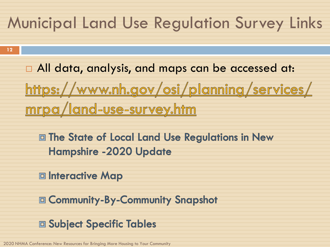### Municipal Land Use Regulation Survey Links

**12**

□ All data, analysis, and maps can be accessed at:

https://www.nh.gov/osi/planning/services/ <u>mrpa/land-use-survey.htm</u>

**E The State of Local Land Use Regulations in New Hampshire -2020 Update** 

□ Interactive Map

**ED Community-By-Community Snapshot** 

**□ Subject Specific Tables**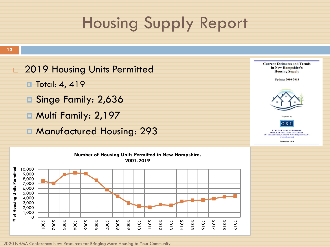## Housing Supply Report

#### **13**

**2019 Housing Units Permitted** 

- **□ Total: 4, 419**
- **B** Singe Family: 2,636
- **B** Multi Family: 2,197
- **E** Manufactured Housing: 293



**Current Estimates and Trends** in New Hampshire's **Housing Supply Update: 2010-2018** 



Prepared by



**STATE OF NEW HAMPSHIRE OFFICE OF STRATEGIC INITIATIVES**<br>easant Street, Concord, New Hampshire 03301 www.nh.gov/os

December 2019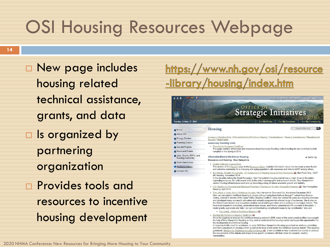## OSI Housing Resources Webpage

 New page includes housing related technical assistance, grants, and data □ Is organized by partnering organization **Provides tools and** 

**14**

resources to incentive housing development

#### https://www.nh.gov/osi/resource <u>-library/housing/index.htm</u>

| AA                                                      | an official NEW HAMPSHIRE government website.                                                                                                                                                                                                                                                                                                                                                                                                                                                                                                                                                                                                                                                                                                                                                                 |
|---------------------------------------------------------|---------------------------------------------------------------------------------------------------------------------------------------------------------------------------------------------------------------------------------------------------------------------------------------------------------------------------------------------------------------------------------------------------------------------------------------------------------------------------------------------------------------------------------------------------------------------------------------------------------------------------------------------------------------------------------------------------------------------------------------------------------------------------------------------------------------|
|                                                         | <b>Strategic Initiatives</b>                                                                                                                                                                                                                                                                                                                                                                                                                                                                                                                                                                                                                                                                                                                                                                                  |
| Tuesday, October 27, 2020                               | For My Home<br><b>For My Business</b><br><b>For My Community</b>                                                                                                                                                                                                                                                                                                                                                                                                                                                                                                                                                                                                                                                                                                                                              |
| <b>B</b> Home                                           | Search this site<br>) Q [<br>Housing                                                                                                                                                                                                                                                                                                                                                                                                                                                                                                                                                                                                                                                                                                                                                                          |
| About OSI                                               |                                                                                                                                                                                                                                                                                                                                                                                                                                                                                                                                                                                                                                                                                                                                                                                                               |
| Energy Division                                         | Accessory Dwelling Units   Affordable/Elderly/Workforce Housing   Condominiums   Housing Commissions   Manufactured<br>Housing   Multi-Family                                                                                                                                                                                                                                                                                                                                                                                                                                                                                                                                                                                                                                                                 |
| > Planning Division                                     | <b>Accessory Dwelling Units</b>                                                                                                                                                                                                                                                                                                                                                                                                                                                                                                                                                                                                                                                                                                                                                                               |
| Special Projects                                        | • Planning for Accessory Dwellings<br>This page contains information and resources about Accessory Dwelling Units including the new technical bulletin                                                                                                                                                                                                                                                                                                                                                                                                                                                                                                                                                                                                                                                        |
| News and Events                                         | compiled in the Spring of 2016.                                                                                                                                                                                                                                                                                                                                                                                                                                                                                                                                                                                                                                                                                                                                                                               |
| Jobs, Grants, RFP's, and<br><b>Funding Availability</b> | Affordable/Elderly/Workforce Housing<br>A Back to Top<br>Resources and Reading - New Hampshire                                                                                                                                                                                                                                                                                                                                                                                                                                                                                                                                                                                                                                                                                                                |
| State Data Center                                       |                                                                                                                                                                                                                                                                                                                                                                                                                                                                                                                                                                                                                                                                                                                                                                                                               |
| Resource Library                                        | • Livable Walkable Communities<br>This section of the Planning page in the Resource Library contains information about how to create a more livable<br>and walkable community for a changing and aging population with resources and links to AARP among others.                                                                                                                                                                                                                                                                                                                                                                                                                                                                                                                                              |
| Contact OSI                                             | Big Homes, Smaller Households - An Assessment of Housing Needs in New Hampshire and, Ben Frost, Esq., AICP -<br>٠<br>NH Housing, November 2014<br>In the decades before the Great Recession, New Hampshire's housing market was a major driver in the state's<br>expanding economy. But with recent shifts in the state's demographic and economic trends. New Hampshire's<br>current housing infrastructure could end up becoming a drag on future economic growth and stability.                                                                                                                                                                                                                                                                                                                            |
|                                                         | . Fair Housing for Regional and Municipal Planning; A Guidebook for New Hampshire Planners col, New Hampshire<br>Housing, April 2014                                                                                                                                                                                                                                                                                                                                                                                                                                                                                                                                                                                                                                                                          |
|                                                         | . They Made a Comic About Workforce Housing, New Hampshire Town and City, November/December 2012<br>How can you explain workforce housing to people without losing them halfway through?" asked Anne Duncan<br>Cooley, executive director of the Upper Valley Housing Coalition. Anne has worked for years as a housing advocate<br>and developed many successful education and outreach programs for a broad range of audiences. She is also on<br>the Orford's selectboard and encounters another set of challenges when she is working on municipal matters. "We<br>have to be experts in everything, understand many issues, and clearly communicate the concepts to the public. I<br>would greatly appreciate any help I can get communicating complicated issues to my constituents," she said.         |
|                                                         | o The Comic - What Is Workforce Housing?                                                                                                                                                                                                                                                                                                                                                                                                                                                                                                                                                                                                                                                                                                                                                                      |
|                                                         | • Meeting the Workforce Housing Challenge and<br>Since the Legislature enacted the workforce housing statute in 2008, many of the state's municipalities have sought<br>the help of New Hampshire Housing as they work to understand the housing market and to provide opportunities for<br>the development of workforce housing.<br>In response to this need for assistance, in early 2009 New Hampshire Housing assembled an advisory committee<br>and hired consultants to develop written guidance for local action under the workforce housing statute. This resulting<br>quidebook, Meeting the Workforce Housing Challenge and, is now available to help local land use boards to address<br>the requirements of the statute and shape future growth consistent with their vision for dynamic, healthy |

communities